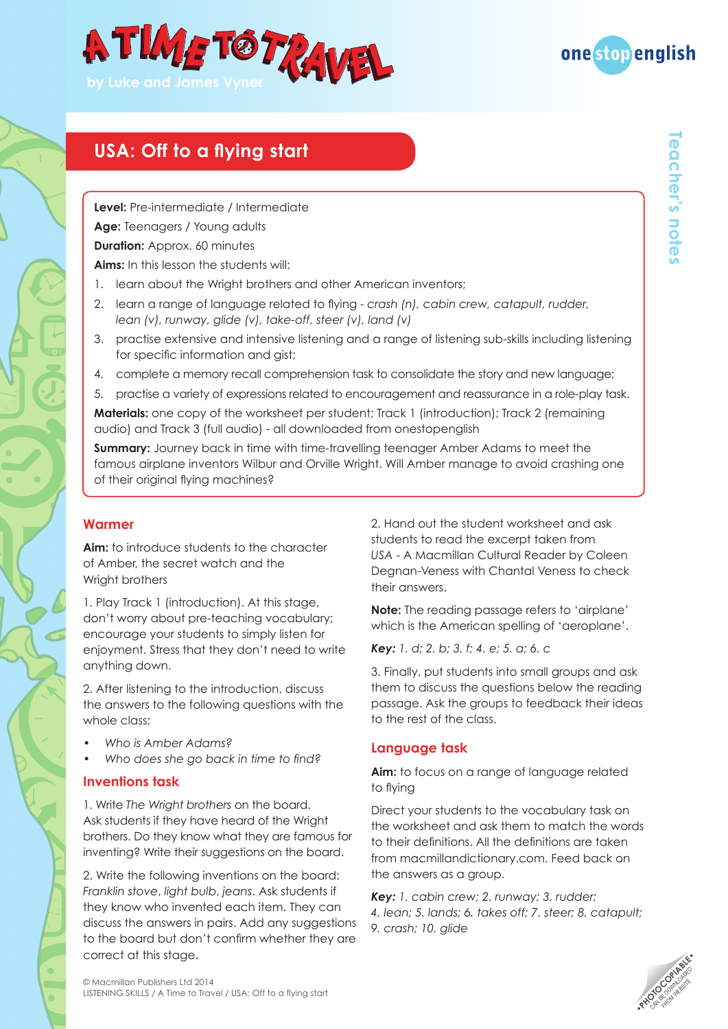



**Teacher's notes**

reacher's notes

## **USA: Off to a flying start**

**Level:** Pre-intermediate / Intermediate

**Age:** Teenagers / Young adults

**Duration: Approx. 60 minutes** 

**Aims:** In this lesson the students will:

- 1. learn about the Wright brothers and other American inventors;
- 2. learn a range of language related to flying *crash (n), cabin crew, catapult, rudder, lean (v), runway, glide (v), take-off, steer (v), land (v)*
- 3. practise extensive and intensive listening and a range of listening sub-skills including listening for specific information and gist;
- 4. complete a memory recall comprehension task to consolidate the story and new language;
- 5. practise a variety of expressions related to encouragement and reassurance in a role-play task.

**Materials:** one copy of the worksheet per student; Track 1 (introduction); Track 2 (remaining audio) and Track 3 (full audio) - all downloaded from onestopenglish

**Summary:** Journey back in time with time-travelling teenager Amber Adams to meet the famous airplane inventors Wilbur and Orville Wright. Will Amber manage to avoid crashing one of their original flying machines?

### **Warmer**

**Aim:** to introduce students to the character of Amber, the secret watch and the Wright brothers

1. Play Track 1 (introduction). At this stage, don't worry about pre-teaching vocabulary; encourage your students to simply listen for enjoyment. Stress that they don't need to write anything down.

2. After listening to the introduction, discuss the answers to the following questions with the whole class:

- *• Who is Amber Adams?*
- *• Who does she go back in time to find?*

### **Inventions task**

1. Write *The Wright brothers* on the board. Ask students if they have heard of the Wright brothers. Do they know what they are famous for inventing? Write their suggestions on the board.

2. Write the following inventions on the board: *Franklin stove*, *light bulb*, *jeans*. Ask students if they know who invented each item. They can discuss the answers in pairs. Add any suggestions to the board but don't confirm whether they are correct at this stage.

2. Hand out the student worksheet and ask students to read the excerpt taken from *USA* - A Macmillan Cultural Reader by Coleen Degnan-Veness with Chantal Veness to check their answers.

**Note:** The reading passage refers to 'airplane' which is the American spelling of 'aeroplane'.

*Key: 1. d; 2. b; 3. f; 4. e; 5. a; 6. c* 

3. Finally, put students into small groups and ask them to discuss the questions below the reading passage. Ask the groups to feedback their ideas to the rest of the class.

### **Language task**

**Aim:** to focus on a range of language related to flying

Direct your students to the vocabulary task on the worksheet and ask them to match the words to their definitions. All the definitions are taken from macmillandictionary.com. Feed back on the answers as a group.

*Key: 1. cabin crew; 2. runway; 3. rudder; 4. lean; 5. lands; 6. takes off; 7. steer; 8. catapult; 9. crash; 10. glide*



© Macmillan Publishers Ltd 2014 LISTENING SKILLS / A Time to Travel / USA: Off to a flying start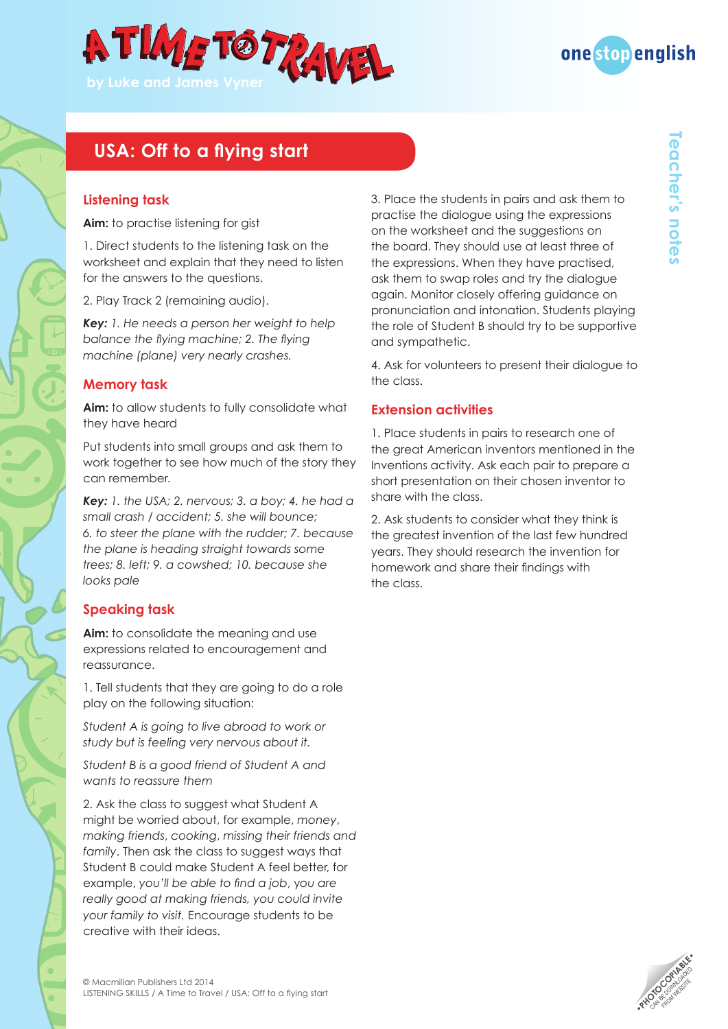



**Teacher's notes**

**Gacher's notes** 

# **USA: Off to a flying start**

### **Listening task**

**Aim:** to practise listening for gist

1. Direct students to the listening task on the worksheet and explain that they need to listen for the answers to the questions.

2. Play Track 2 (remaining audio).

*Key: 1. He needs a person her weight to help balance the flying machine; 2. The flying machine (plane) very nearly crashes.*

#### **Memory task**

**Aim:** to allow students to fully consolidate what they have heard

Put students into small groups and ask them to work together to see how much of the story they can remember.

*Key: 1. the USA; 2. nervous; 3. a boy; 4. he had a small crash / accident; 5. she will bounce; 6. to steer the plane with the rudder; 7. because the plane is heading straight towards some trees; 8. left; 9. a cowshed; 10. because she looks pale*

### **Speaking task**

**Aim:** to consolidate the meaning and use expressions related to encouragement and reassurance.

1. Tell students that they are going to do a role play on the following situation:

*Student A is going to live abroad to work or study but is feeling very nervous about it.*

*Student B is a good friend of Student A and wants to reassure them*

2. Ask the class to suggest what Student A might be worried about, for example, *money*, *making friends*, *cooking*, *missing their friends and family*. Then ask the class to suggest ways that Student B could make Student A feel better, for example, *you'll be able to find a job*, y*ou are really good at making friends, you could invite your family to visit.* Encourage students to be creative with their ideas.

3. Place the students in pairs and ask them to practise the dialogue using the expressions on the worksheet and the suggestions on the board. They should use at least three of the expressions. When they have practised, ask them to swap roles and try the dialogue again. Monitor closely offering guidance on pronunciation and intonation. Students playing the role of Student B should try to be supportive and sympathetic.

4. Ask for volunteers to present their dialogue to the class.

#### **Extension activities**

1. Place students in pairs to research one of the great American inventors mentioned in the Inventions activity. Ask each pair to prepare a short presentation on their chosen inventor to share with the class.

2. Ask students to consider what they think is the greatest invention of the last few hundred years. They should research the invention for homework and share their findings with the class.

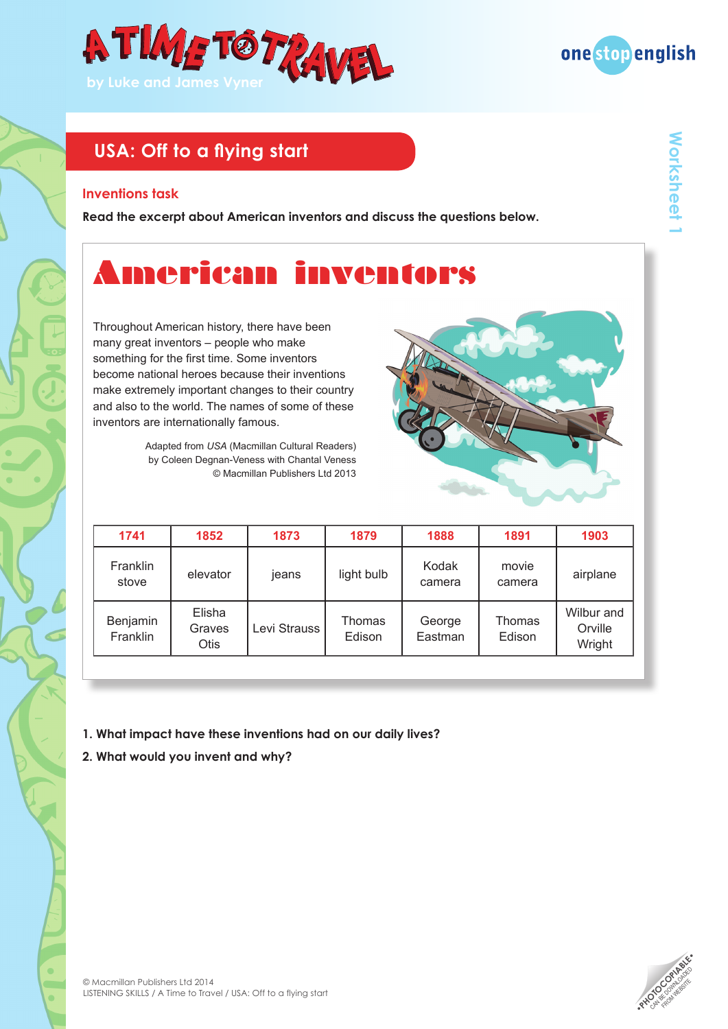



#### **Inventions task**

**Read the excerpt about American inventors and discuss the questions below.**

# American inventors

Throughout American history, there have been many great inventors – people who make something for the first time. Some inventors become national heroes because their inventions make extremely important changes to their country and also to the world. The names of some of these inventors are internationally famous.

> Adapted from *USA* (Macmillan Cultural Readers) by Coleen Degnan-Veness with Chantal Veness © Macmillan Publishers Ltd 2013

| 1741                 | 1852                            | 1873         | 1879                    | 1888              | 1891                    | 1903                            |
|----------------------|---------------------------------|--------------|-------------------------|-------------------|-------------------------|---------------------------------|
| Franklin<br>stove    | elevator                        | jeans        | light bulb              | Kodak<br>camera   | movie<br>camera         | airplane                        |
| Benjamin<br>Franklin | Elisha<br>Graves<br><b>Otis</b> | Levi Strauss | <b>Thomas</b><br>Edison | George<br>Eastman | <b>Thomas</b><br>Edison | Wilbur and<br>Orville<br>Wright |

- **1. What impact have these inventions had on our daily lives?**
- **2. What would you invent and why?**

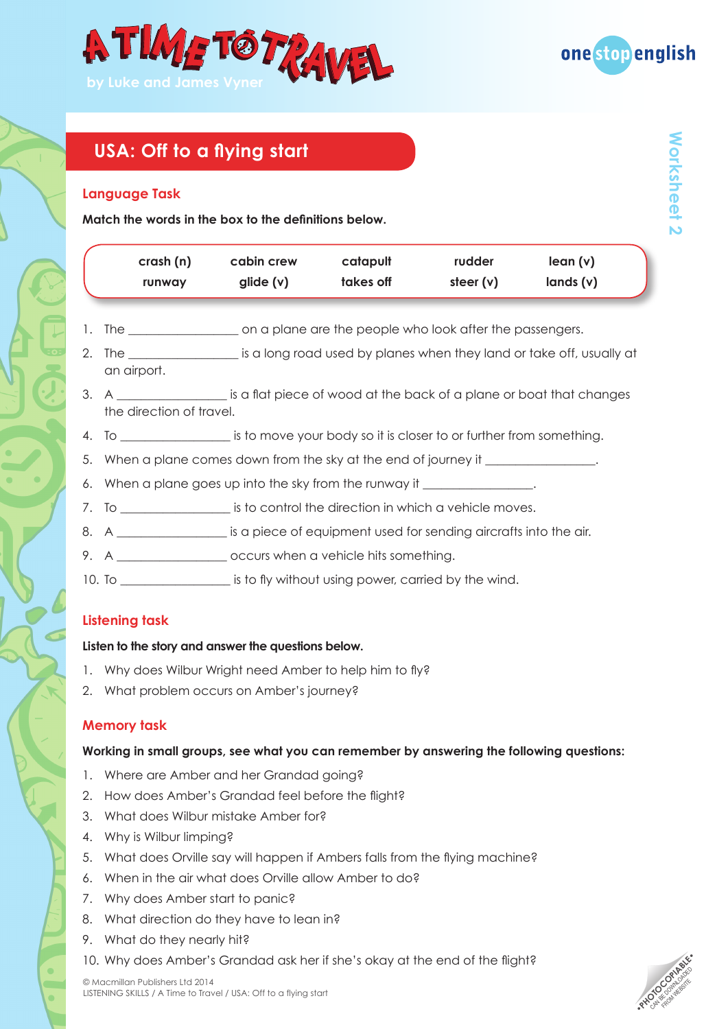



**Worksheet 2**

**Norksheet** 

## **USA: Off to a flying start**

#### **Language Task**

**Match the words in the box to the definitions below.** 

| crash(n)<br>runway                                                                                                         | cabin crew<br>glide $(v)$ | catapult<br>takes off | rudder<br>steer $(v)$ | lean(v)<br>lands(v)                                                                              |
|----------------------------------------------------------------------------------------------------------------------------|---------------------------|-----------------------|-----------------------|--------------------------------------------------------------------------------------------------|
|                                                                                                                            |                           |                       |                       |                                                                                                  |
| 1. The ________________________on a plane are the people who look after the passengers.                                    |                           |                       |                       |                                                                                                  |
| an airport.                                                                                                                |                           |                       |                       | 2. The ____________________ is a long road used by planes when they land or take off, usually at |
| 3. A _____________________ is a flat piece of wood at the back of a plane or boat that changes<br>the direction of travel. |                           |                       |                       |                                                                                                  |
| 4. To _____________________ is to move your body so it is closer to or further from something.                             |                           |                       |                       |                                                                                                  |
| 5. When a plane comes down from the sky at the end of journey it _______________                                           |                           |                       |                       |                                                                                                  |
| 6. When a plane goes up into the sky from the runway it ________________.                                                  |                           |                       |                       |                                                                                                  |
| 7. To _____________________ is to control the direction in which a vehicle moves.                                          |                           |                       |                       |                                                                                                  |

- 8. A \_\_\_\_\_\_\_\_\_\_\_\_\_\_\_\_\_\_ is a piece of equipment used for sending aircrafts into the air.
- 9. A coccurs when a vehicle hits something.
- 10. To \_\_\_\_\_\_\_\_\_\_\_\_\_\_\_\_\_\_\_\_\_\_\_ is to fly without using power, carried by the wind.

### **Listening task**

### **Listen to the story and answer the questions below.**

- 1. Why does Wilbur Wright need Amber to help him to fly?
- 2. What problem occurs on Amber's journey?

### **Memory task**

**Working in small groups, see what you can remember by answering the following questions:**

- 1. Where are Amber and her Grandad going?
- 2. How does Amber's Grandad feel before the flight?
- 3. What does Wilbur mistake Amber for?
- 4. Why is Wilbur limping?
- 5. What does Orville say will happen if Ambers falls from the flying machine?
- 6. When in the air what does Orville allow Amber to do?
- 7. Why does Amber start to panic?
- 8. What direction do they have to lean in?
- 9. What do they nearly hit?
- 10. Why does Amber's Grandad ask her if she's okay at the end of the flight?

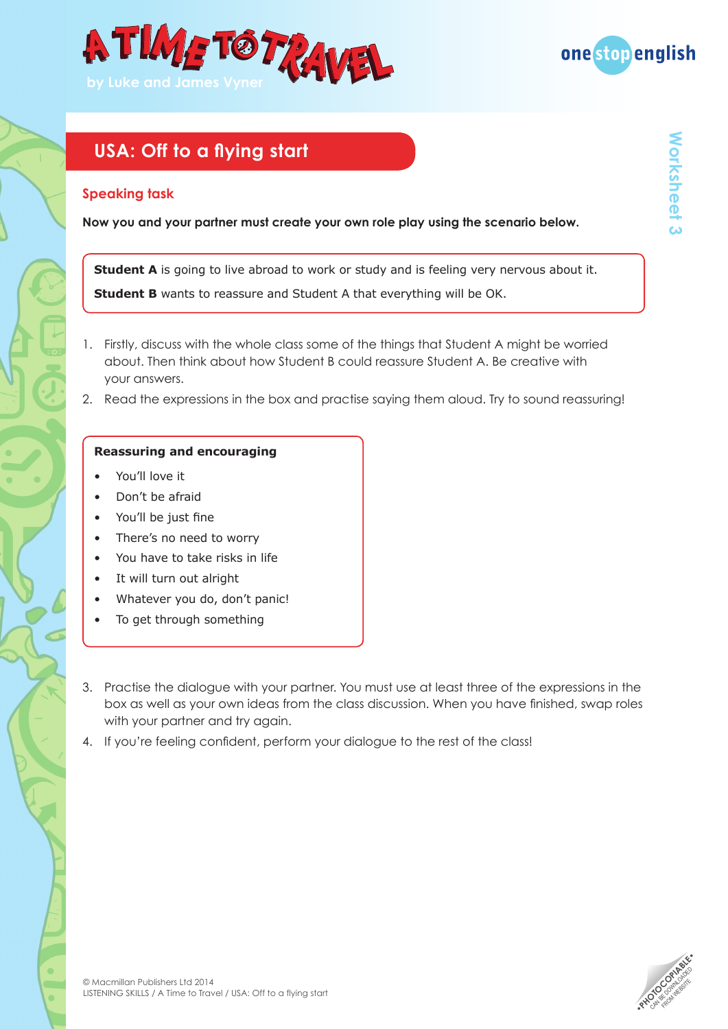



#### **Speaking task**

**Now you and your partner must create your own role play using the scenario below.** 

**Student A** is going to live abroad to work or study and is feeling very nervous about it.

**Student B** wants to reassure and Student A that everything will be OK.

- 1. Firstly, discuss with the whole class some of the things that Student A might be worried about. Then think about how Student B could reassure Student A. Be creative with your answers.
- 2. Read the expressions in the box and practise saying them aloud. Try to sound reassuring!

#### **Reassuring and encouraging**

- You'll love it
- Don't be afraid
- You'll be just fine
- There's no need to worry
- You have to take risks in life
- It will turn out alright
- Whatever you do, don't panic!
- To get through something
- 3. Practise the dialogue with your partner. You must use at least three of the expressions in the box as well as your own ideas from the class discussion. When you have finished, swap roles with your partner and try again.
- 4. If you're feeling confident, perform your dialogue to the rest of the class!

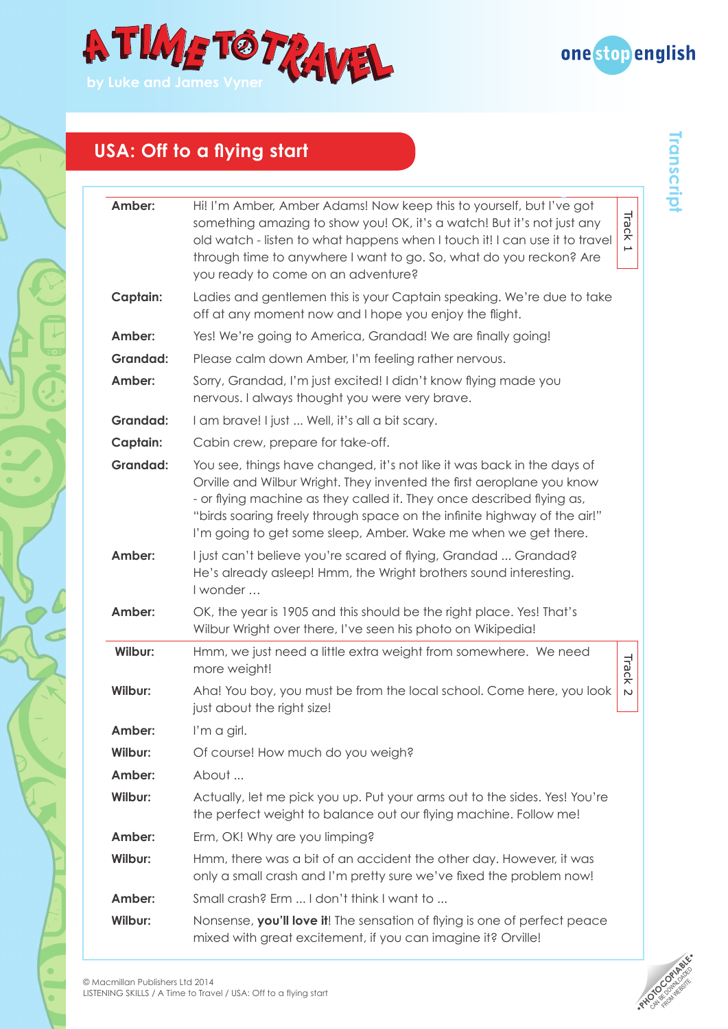



| Amber:          | Hi! I'm Amber, Amber Adams! Now keep this to yourself, but I've got<br>Track<br>something amazing to show you! OK, it's a watch! But it's not just any<br>old watch - listen to what happens when I touch it! I can use it to travel<br>⊢<br>through time to anywhere I want to go. So, what do you reckon? Are<br>you ready to come on an adventure?                  |
|-----------------|------------------------------------------------------------------------------------------------------------------------------------------------------------------------------------------------------------------------------------------------------------------------------------------------------------------------------------------------------------------------|
| Captain:        | Ladies and gentlemen this is your Captain speaking. We're due to take<br>off at any moment now and I hope you enjoy the flight.                                                                                                                                                                                                                                        |
| Amber:          | Yes! We're going to America, Grandad! We are finally going!                                                                                                                                                                                                                                                                                                            |
| <b>Grandad:</b> | Please calm down Amber, I'm feeling rather nervous.                                                                                                                                                                                                                                                                                                                    |
| Amber:          | Sorry, Grandad, I'm just excited! I didn't know flying made you<br>nervous. I always thought you were very brave.                                                                                                                                                                                                                                                      |
| <b>Grandad:</b> | I am brave! I just  Well, it's all a bit scary.                                                                                                                                                                                                                                                                                                                        |
| Captain:        | Cabin crew, prepare for take-off.                                                                                                                                                                                                                                                                                                                                      |
| <b>Grandad:</b> | You see, things have changed, it's not like it was back in the days of<br>Orville and Wilbur Wright. They invented the first aeroplane you know<br>- or flying machine as they called it. They once described flying as,<br>"birds soaring freely through space on the infinite highway of the air!"<br>I'm going to get some sleep, Amber. Wake me when we get there. |
| Amber:          | I just can't believe you're scared of flying, Grandad  Grandad?<br>He's already asleep! Hmm, the Wright brothers sound interesting.<br>I wonder                                                                                                                                                                                                                        |
| Amber:          | OK, the year is 1905 and this should be the right place. Yes! That's<br>Wilbur Wright over there, I've seen his photo on Wikipedia!                                                                                                                                                                                                                                    |
| Wilbur:         | Hmm, we just need a little extra weight from somewhere. We need<br>Track<br>more weight!                                                                                                                                                                                                                                                                               |
| Wilbur:         | Aha! You boy, you must be from the local school. Come here, you look<br>$\sim$<br>just about the right size!                                                                                                                                                                                                                                                           |
| Amber:          | I'm a girl.                                                                                                                                                                                                                                                                                                                                                            |
| Wilbur:         | Of course! How much do you weigh?                                                                                                                                                                                                                                                                                                                                      |
| Amber:          | About                                                                                                                                                                                                                                                                                                                                                                  |
| Wilbur:         | Actually, let me pick you up. Put your arms out to the sides. Yes! You're<br>the perfect weight to balance out our flying machine. Follow me!                                                                                                                                                                                                                          |
| Amber:          | Erm, OK! Why are you limping?                                                                                                                                                                                                                                                                                                                                          |
| Wilbur:         | Hmm, there was a bit of an accident the other day. However, it was<br>only a small crash and I'm pretty sure we've fixed the problem now!                                                                                                                                                                                                                              |
| Amber:          | Small crash? Erm  I don't think I want to                                                                                                                                                                                                                                                                                                                              |
| Wilbur:         | Nonsense, you'll love it! The sensation of flying is one of perfect peace<br>mixed with great excitement, if you can imagine it? Orville!                                                                                                                                                                                                                              |



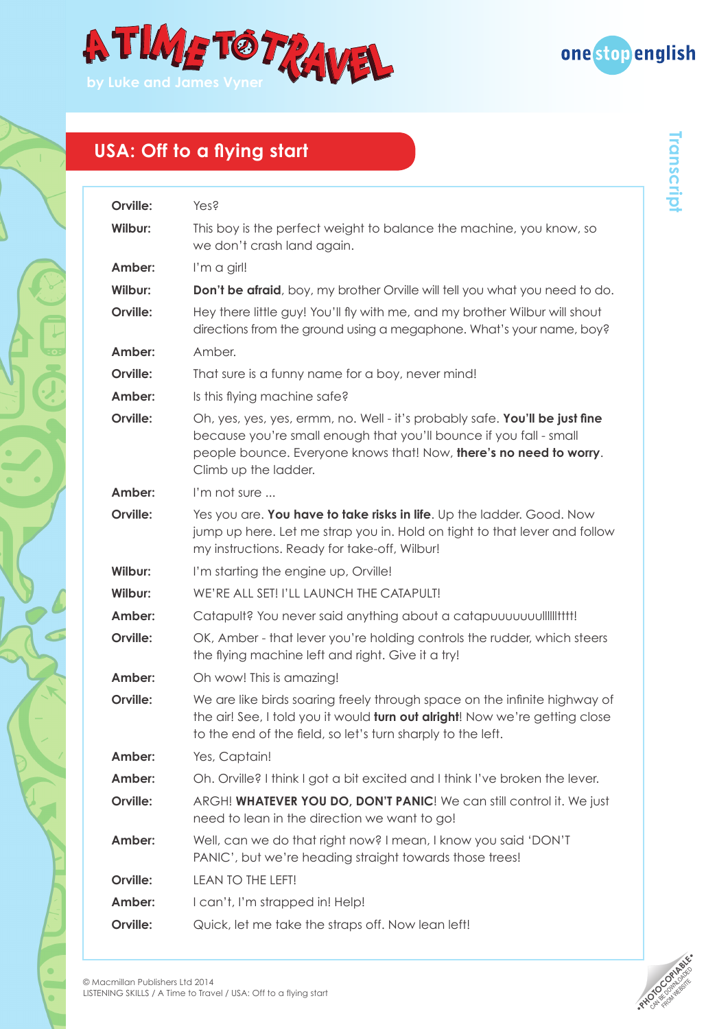



| Yes?                                                                                                                                                                                                                                            |
|-------------------------------------------------------------------------------------------------------------------------------------------------------------------------------------------------------------------------------------------------|
| This boy is the perfect weight to balance the machine, you know, so<br>we don't crash land again.                                                                                                                                               |
| I'm a girl!                                                                                                                                                                                                                                     |
| <b>Don't be afraid</b> , boy, my brother Orville will tell you what you need to do.                                                                                                                                                             |
| Hey there little guy! You'll fly with me, and my brother Wilbur will shout<br>directions from the ground using a megaphone. What's your name, boy?                                                                                              |
| Amber.                                                                                                                                                                                                                                          |
| That sure is a funny name for a boy, never mind!                                                                                                                                                                                                |
| Is this flying machine safe?                                                                                                                                                                                                                    |
| Oh, yes, yes, yes, ermm, no. Well - it's probably safe. You'll be just fine<br>because you're small enough that you'll bounce if you fall - small<br>people bounce. Everyone knows that! Now, there's no need to worry.<br>Climb up the ladder. |
| I'm not sure                                                                                                                                                                                                                                    |
| Yes you are. You have to take risks in life. Up the ladder. Good. Now<br>jump up here. Let me strap you in. Hold on tight to that lever and follow<br>my instructions. Ready for take-off, Wilbur!                                              |
| I'm starting the engine up, Orville!                                                                                                                                                                                                            |
| WE'RE ALL SET! I'LL LAUNCH THE CATAPULT!                                                                                                                                                                                                        |
| Catapult? You never said anything about a catapuuuuuuulliiittti!                                                                                                                                                                                |
| OK, Amber - that lever you're holding controls the rudder, which steers<br>the flying machine left and right. Give it a try!                                                                                                                    |
| Oh wow! This is amazing!                                                                                                                                                                                                                        |
| We are like birds soaring freely through space on the infinite highway of<br>the air! See, I told you it would turn out alright! Now we're getting close<br>to the end of the field, so let's turn sharply to the left.                         |
| Yes, Captain!                                                                                                                                                                                                                                   |
| Oh. Orville? I think I got a bit excited and I think I've broken the lever.                                                                                                                                                                     |
| ARGH! WHATEVER YOU DO, DON'T PANIC! We can still control it. We just<br>need to lean in the direction we want to go!                                                                                                                            |
| Well, can we do that right now? I mean, I know you said 'DON'T<br>PANIC', but we're heading straight towards those trees!                                                                                                                       |
| LEAN TO THE LEFT!                                                                                                                                                                                                                               |
| I can't, I'm strapped in! Help!                                                                                                                                                                                                                 |
| Quick, let me take the straps off. Now lean left!                                                                                                                                                                                               |
|                                                                                                                                                                                                                                                 |



 $\bullet$ 

ö